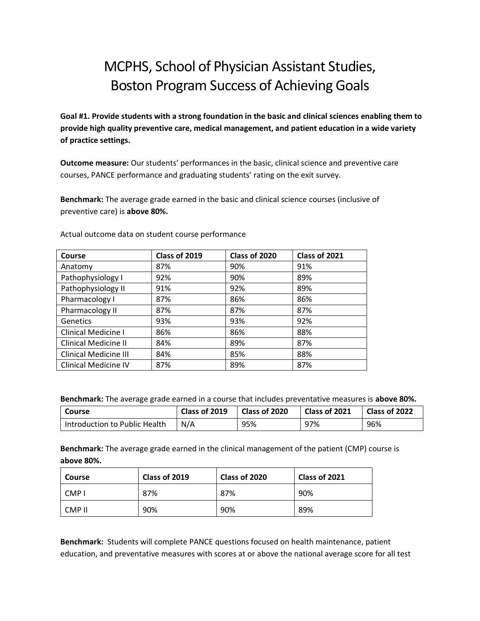# MCPHS, School of Physician Assistant Studies, Boston Program Success of Achieving Goals

**Goal #1. Provide students with a strong foundation in the basic and clinical sciences enabling them to provide high quality preventive care, medical management, and patient education in a wide variety of practice settings.**

**Outcome measure:** Our students' performances in the basic, clinical science and preventive care courses, PANCE performance and graduating students' rating on the exit survey.

**Benchmark:** The average grade earned in the basic and clinical science courses (inclusive of preventive care) is **above 80%.**

| Course                       | Class of 2019 | Class of 2020 | Class of 2021 |
|------------------------------|---------------|---------------|---------------|
| Anatomy                      | 87%           | 90%           | 91%           |
| Pathophysiology I            | 92%           | 90%           | 89%           |
| Pathophysiology II           | 91%           | 92%           | 89%           |
| Pharmacology I               | 87%           | 86%           | 86%           |
| Pharmacology II              | 87%           | 87%           | 87%           |
| Genetics                     | 93%           | 93%           | 92%           |
| <b>Clinical Medicine I</b>   | 86%           | 86%           | 88%           |
| <b>Clinical Medicine II</b>  | 84%           | 89%           | 87%           |
| <b>Clinical Medicine III</b> | 84%           | 85%           | 88%           |
| <b>Clinical Medicine IV</b>  | 87%           | 89%           | 87%           |

Actual outcome data on student course performance

**Benchmark:** The average grade earned in a course that includes preventative measures is **above 80%.**

| Course                        | Class of 2019 | Class of 2020 | $\mid$ Class of 2021 | Class of 2022 |
|-------------------------------|---------------|---------------|----------------------|---------------|
| Introduction to Public Health | N/A           | 95%           | 97%                  | 96%           |

**Benchmark:** The average grade earned in the clinical management of the patient (CMP) course is **above 80%.** 

| <b>Course</b> | Class of 2019 | Class of 2020 | Class of 2021 |
|---------------|---------------|---------------|---------------|
| CMP I         | 87%           | 87%           | 90%           |
| CMP II        | 90%           | 90%           | 89%           |

**Benchmark:** Students will complete PANCE questions focused on health maintenance, patient education, and preventative measures with scores at or above the national average score for all test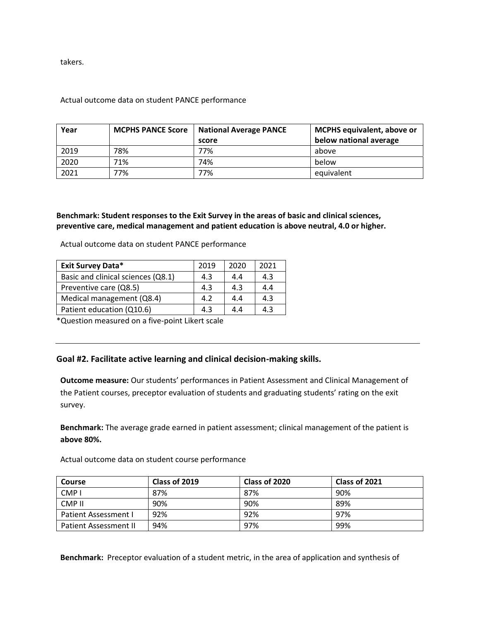takers.

#### Actual outcome data on student PANCE performance

| Year | <b>MCPHS PANCE Score</b> | <b>National Average PANCE</b> | <b>MCPHS equivalent, above or</b> |
|------|--------------------------|-------------------------------|-----------------------------------|
|      |                          | score                         | below national average            |
| 2019 | 78%                      | 77%                           | above                             |
| 2020 | 71%                      | 74%                           | below                             |
| 2021 | 77%                      | 77%                           | equivalent                        |

### **Benchmark: Student responses to the Exit Survey in the areas of basic and clinical sciences, preventive care, medical management and patient education is above neutral, 4.0 or higher.**

Actual outcome data on student PANCE performance

| <b>Exit Survey Data*</b>           | 2019 | 2020 | 2021 |
|------------------------------------|------|------|------|
| Basic and clinical sciences (Q8.1) | 4.3  | 4.4  | 4.3  |
| Preventive care (Q8.5)             | 4.3  | 4.3  | 4.4  |
| Medical management (Q8.4)          | 4.2  | 4.4  | 4.3  |
| Patient education (Q10.6)          | 4.3  | 4.4  | 4.3  |

\*Question measured on a five-point Likert scale

## **Goal #2. Facilitate active learning and clinical decision-making skills.**

**Outcome measure:** Our students' performances in Patient Assessment and Clinical Management of the Patient courses, preceptor evaluation of students and graduating students' rating on the exit survey.

**Benchmark:** The average grade earned in patient assessment; clinical management of the patient is **above 80%.**

Actual outcome data on student course performance

| <b>Course</b>                | Class of 2019 | Class of 2020 | Class of 2021 |
|------------------------------|---------------|---------------|---------------|
| CMP <sub>1</sub>             | 87%           | 87%           | 90%           |
| CMP II                       | 90%           | 90%           | 89%           |
| <b>Patient Assessment I</b>  | 92%           | 92%           | 97%           |
| <b>Patient Assessment II</b> | 94%           | 97%           | 99%           |

**Benchmark:** Preceptor evaluation of a student metric, in the area of application and synthesis of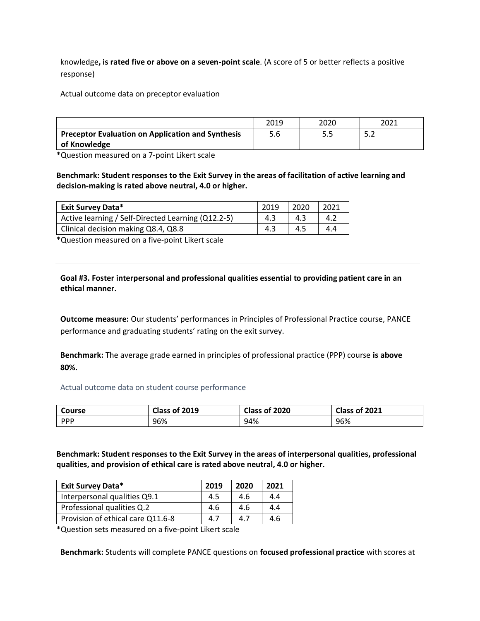knowledge**, is rated five or above on a seven-point scale**. (A score of 5 or better reflects a positive response)

Actual outcome data on preceptor evaluation

|                                                          | 2019 | 2020 | 2021  |
|----------------------------------------------------------|------|------|-------|
| <b>Preceptor Evaluation on Application and Synthesis</b> | 5.6  | כ.כ  | ے . د |
| of Knowledge                                             |      |      |       |

\*Question measured on a 7-point Likert scale

**Benchmark: Student responses to the Exit Survey in the areas of facilitation of active learning and decision-making is rated above neutral, 4.0 or higher.**

| <b>Exit Survey Data*</b>                           | 2019 | 2020 | 2021 |
|----------------------------------------------------|------|------|------|
| Active learning / Self-Directed Learning (Q12.2-5) | 4.3  | 4.3  | 4.2  |
| Clinical decision making Q8.4, Q8.8                | 4.3  | 4.5  | 4.4  |

\*Question measured on a five-point Likert scale

**Goal #3. Foster interpersonal and professional qualities essential to providing patient care in an ethical manner.**

**Outcome measure:** Our students' performances in Principles of Professional Practice course, PANCE performance and graduating students' rating on the exit survey.

**Benchmark:** The average grade earned in principles of professional practice (PPP) course **is above 80%.**

Actual outcome data on student course performance

| <b>Course</b> | Class of 2019 | Class of 2020 | Class of 2021 |
|---------------|---------------|---------------|---------------|
| <b>PPP</b>    | 96%           | 94%           | 96%           |

**Benchmark: Student responses to the Exit Survey in the areas of interpersonal qualities, professional qualities, and provision of ethical care is rated above neutral, 4.0 or higher.**

| <b>Exit Survey Data*</b>          | 2019 | 2020 | 2021 |
|-----------------------------------|------|------|------|
| Interpersonal qualities Q9.1      | 4.5  | 4.6  | 4.4  |
| Professional qualities Q.2        | 4.6  | 4.6  | 4.4  |
| Provision of ethical care Q11.6-8 | 4.7  | 4.7  | 4.6  |

\*Question sets measured on a five-point Likert scale

**Benchmark:** Students will complete PANCE questions on **focused professional practice** with scores at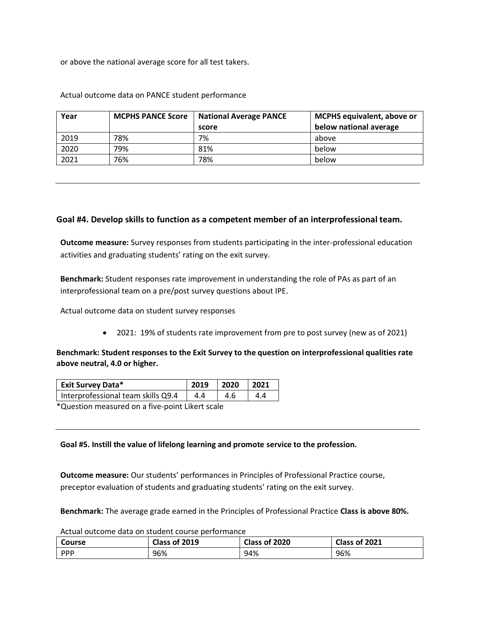or above the national average score for all test takers.

| Year | <b>MCPHS PANCE Score</b> | <b>National Average PANCE</b><br>score | <b>MCPHS</b> equivalent, above or<br>below national average |
|------|--------------------------|----------------------------------------|-------------------------------------------------------------|
| 2019 | 78%                      | 7%                                     | above                                                       |
| 2020 | 79%                      | 81%                                    | below                                                       |
| 2021 | 76%                      | 78%                                    | below                                                       |

Actual outcome data on PANCE student performance

### **Goal #4. Develop skills to function as a competent member of an interprofessional team.**

**Outcome measure:** Survey responses from students participating in the inter-professional education activities and graduating students' rating on the exit survey.

**Benchmark:** Student responses rate improvement in understanding the role of PAs as part of an interprofessional team on a pre/post survey questions about IPE.

Actual outcome data on student survey responses

• 2021: 19% of students rate improvement from pre to post survey (new as of 2021)

## **Benchmark: Student responses to the Exit Survey to the question on interprofessional qualities rate above neutral, 4.0 or higher.**

| <b>Exit Survey Data*</b>                                                                                                                                                                                                           | 2019 | $\sim$ 2020 | $\vert$ 2021 |  |
|------------------------------------------------------------------------------------------------------------------------------------------------------------------------------------------------------------------------------------|------|-------------|--------------|--|
| Interprofessional team skills Q9.4                                                                                                                                                                                                 | 4.4  | 4.6         | 4.4          |  |
| $\bullet$ . The contract of the contract of the contract of the contract of the contract of the contract of the contract of the contract of the contract of the contract of the contract of the contract of the contract of the co |      |             |              |  |

\*Question measured on a five-point Likert scale

**Goal #5. Instill the value of lifelong learning and promote service to the profession.**

**Outcome measure:** Our students' performances in Principles of Professional Practice course, preceptor evaluation of students and graduating students' rating on the exit survey.

**Benchmark:** The average grade earned in the Principles of Professional Practice **Class is above 80%.** 

Actual outcome data on student course performance

| Course     | Class of 2019 | Class of 2020 | Class of 2021 |
|------------|---------------|---------------|---------------|
| <b>PPP</b> | 96%           | 94%           | 96%           |